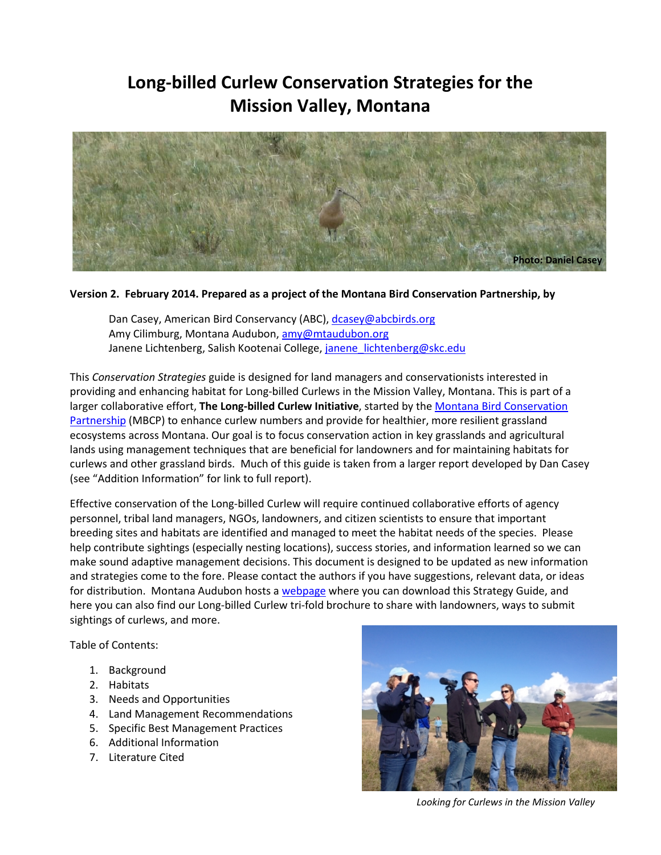# **Long-billed Curlew Conservation Strategies for the Mission Valley, Montana**



#### **Version 2. February 2014. Prepared as a project of the Montana Bird Conservation Partnership, by**

Dan Casey, American Bird Conservancy (ABC), [dcasey@abcbirds.org](mailto:dcasey@abcbirds.org) Amy Cilimburg, Montana Audubon, [amy@mtaudubon.org](mailto:amy@mtaudubon.org) Janene Lichtenberg, Salish Kootenai College, [janene\\_lichtenberg@skc.edu](mailto:janene_lichtenberg@skc.edu)

This *Conservation Strategies* guide is designed for land managers and conservationists interested in providing and enhancing habitat for Long-billed Curlews in the Mission Valley, Montana. This is part of a larger collaborative effort, **The Long-billed Curlew Initiative**, started by the Montana Bird Conservation Partnership (MBCP) to enhance curlew numbers and provide for healthier, more resilient grassland ecosystems across Montana. Our goal is to focus conservation action in key grasslands and agricultural lands using management techniques that are beneficial for landowners and for maintaining habitats for curlews and other grassland birds. Much of this guide is taken from a larger report developed by Dan Casey (see "Addition Information" for link to full report).

Effective conservation of the Long-billed Curlew will require continued collaborative efforts of agency personnel, tribal land managers, NGOs, landowners, and citizen scientists to ensure that important breeding sites and habitats are identified and managed to meet the habitat needs of the species. Please help contribute sightings (especially nesting locations), success stories, and information learned so we can make sound adaptive management decisions. This document is designed to be updated as new information and strategies come to the fore. Please contact the authors if you have suggestions, relevant data, or ideas for distribution. Montana Audubon hosts a [webpage](http://www.mtaudubon.org/issues/grasslands/curlew.html) where you can download this Strategy Guide, and here you can also find our Long-billed Curlew tri-fold brochure to share with landowners, ways to submit sightings of curlews, and more.

Table of Contents:

- 1. Background
- 2. Habitats
- 3. Needs and Opportunities
- 4. Land Management Recommendations
- 5. Specific Best Management Practices
- 6. Additional Information
- 7. Literature Cited



*Looking for Curlews in the Mission Valley*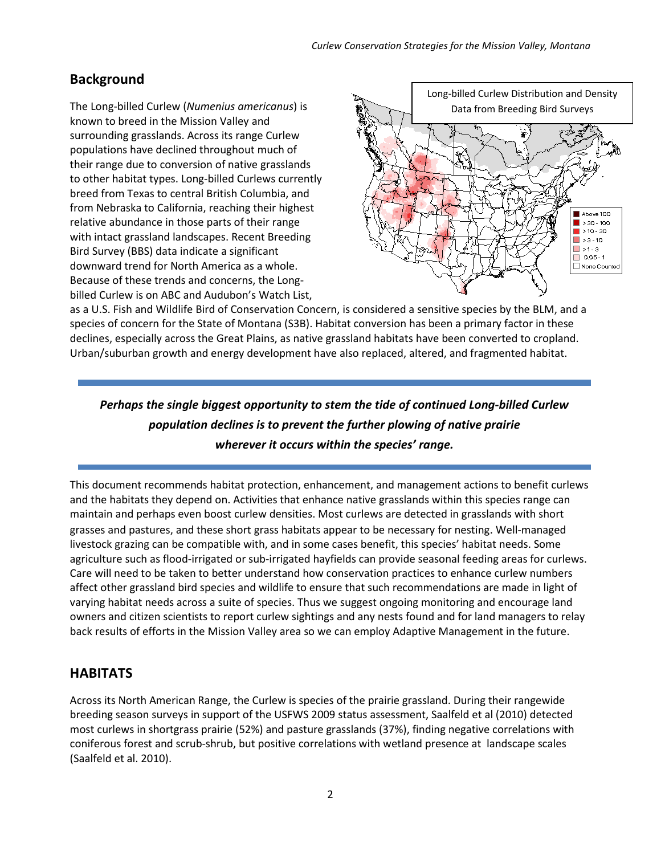### **Background**

The Long-billed Curlew (*Numenius americanus*) is known to breed in the Mission Valley and surrounding grasslands. Across its range Curlew populations have declined throughout much of their range due to conversion of native grasslands to other habitat types. Long-billed Curlews currently breed from Texas to central British Columbia, and from Nebraska to California, reaching their highest relative abundance in those parts of their range with intact grassland landscapes. Recent Breeding Bird Survey (BBS) data indicate a significant downward trend for North America as a whole. Because of these trends and concerns, the Longbilled Curlew is on ABC and Audubon's Watch List,



as a U.S. Fish and Wildlife Bird of Conservation Concern, is considered a sensitive species by the BLM, and a species of concern for the State of Montana (S3B). Habitat conversion has been a primary factor in these declines, especially across the Great Plains, as native grassland habitats have been converted to cropland. Urban/suburban growth and energy development have also replaced, altered, and fragmented habitat.

# *Perhaps the single biggest opportunity to stem the tide of continued Long-billed Curlew population declines is to prevent the further plowing of native prairie wherever it occurs within the species' range.*

This document recommends habitat protection, enhancement, and management actions to benefit curlews and the habitats they depend on. Activities that enhance native grasslands within this species range can maintain and perhaps even boost curlew densities. Most curlews are detected in grasslands with short grasses and pastures, and these short grass habitats appear to be necessary for nesting. Well-managed livestock grazing can be compatible with, and in some cases benefit, this species' habitat needs. Some agriculture such as flood-irrigated or sub-irrigated hayfields can provide seasonal feeding areas for curlews. Care will need to be taken to better understand how conservation practices to enhance curlew numbers affect other grassland bird species and wildlife to ensure that such recommendations are made in light of varying habitat needs across a suite of species. Thus we suggest ongoing monitoring and encourage land owners and citizen scientists to report curlew sightings and any nests found and for land managers to relay back results of efforts in the Mission Valley area so we can employ Adaptive Management in the future.

### **HABITATS**

Across its North American Range, the Curlew is species of the prairie grassland. During their rangewide breeding season surveys in support of the USFWS 2009 status assessment, Saalfeld et al (2010) detected most curlews in shortgrass prairie (52%) and pasture grasslands (37%), finding negative correlations with coniferous forest and scrub-shrub, but positive correlations with wetland presence at landscape scales (Saalfeld et al. 2010).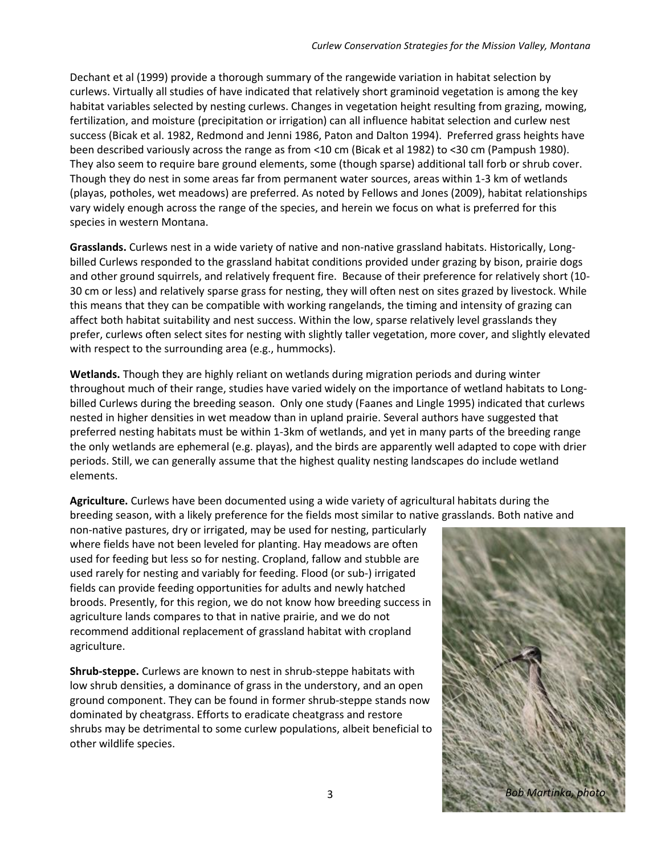Dechant et al (1999) provide a thorough summary of the rangewide variation in habitat selection by curlews. Virtually all studies of have indicated that relatively short graminoid vegetation is among the key habitat variables selected by nesting curlews. Changes in vegetation height resulting from grazing, mowing, fertilization, and moisture (precipitation or irrigation) can all influence habitat selection and curlew nest success (Bicak et al. 1982, Redmond and Jenni 1986, Paton and Dalton 1994). Preferred grass heights have been described variously across the range as from <10 cm (Bicak et al 1982) to <30 cm (Pampush 1980). They also seem to require bare ground elements, some (though sparse) additional tall forb or shrub cover. Though they do nest in some areas far from permanent water sources, areas within 1-3 km of wetlands (playas, potholes, wet meadows) are preferred. As noted by Fellows and Jones (2009), habitat relationships vary widely enough across the range of the species, and herein we focus on what is preferred for this species in western Montana.

**Grasslands.** Curlews nest in a wide variety of native and non-native grassland habitats. Historically, Longbilled Curlews responded to the grassland habitat conditions provided under grazing by bison, prairie dogs and other ground squirrels, and relatively frequent fire. Because of their preference for relatively short (10- 30 cm or less) and relatively sparse grass for nesting, they will often nest on sites grazed by livestock. While this means that they can be compatible with working rangelands, the timing and intensity of grazing can affect both habitat suitability and nest success. Within the low, sparse relatively level grasslands they prefer, curlews often select sites for nesting with slightly taller vegetation, more cover, and slightly elevated with respect to the surrounding area (e.g., hummocks).

**Wetlands.** Though they are highly reliant on wetlands during migration periods and during winter throughout much of their range, studies have varied widely on the importance of wetland habitats to Longbilled Curlews during the breeding season. Only one study (Faanes and Lingle 1995) indicated that curlews nested in higher densities in wet meadow than in upland prairie. Several authors have suggested that preferred nesting habitats must be within 1-3km of wetlands, and yet in many parts of the breeding range the only wetlands are ephemeral (e.g. playas), and the birds are apparently well adapted to cope with drier periods. Still, we can generally assume that the highest quality nesting landscapes do include wetland elements.

**Agriculture.** Curlews have been documented using a wide variety of agricultural habitats during the breeding season, with a likely preference for the fields most similar to native grasslands. Both native and

non-native pastures, dry or irrigated, may be used for nesting, particularly where fields have not been leveled for planting. Hay meadows are often used for feeding but less so for nesting. Cropland, fallow and stubble are used rarely for nesting and variably for feeding. Flood (or sub-) irrigated fields can provide feeding opportunities for adults and newly hatched broods. Presently, for this region, we do not know how breeding success in agriculture lands compares to that in native prairie, and we do not recommend additional replacement of grassland habitat with cropland agriculture.

**Shrub-steppe.** Curlews are known to nest in shrub-steppe habitats with low shrub densities, a dominance of grass in the understory, and an open ground component. They can be found in former shrub-steppe stands now dominated by cheatgrass. Efforts to eradicate cheatgrass and restore shrubs may be detrimental to some curlew populations, albeit beneficial to other wildlife species.

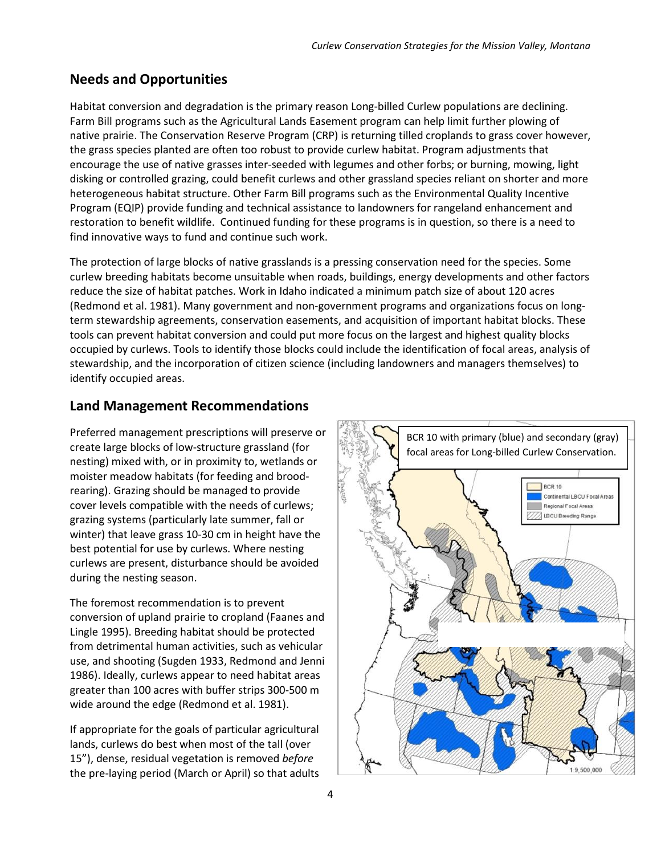## **Needs and Opportunities**

Habitat conversion and degradation is the primary reason Long-billed Curlew populations are declining. Farm Bill programs such as the Agricultural Lands Easement program can help limit further plowing of native prairie. The Conservation Reserve Program (CRP) is returning tilled croplands to grass cover however, the grass species planted are often too robust to provide curlew habitat. Program adjustments that encourage the use of native grasses inter-seeded with legumes and other forbs; or burning, mowing, light disking or controlled grazing, could benefit curlews and other grassland species reliant on shorter and more heterogeneous habitat structure. Other Farm Bill programs such as the Environmental Quality Incentive Program (EQIP) provide funding and technical assistance to landowners for rangeland enhancement and restoration to benefit wildlife. Continued funding for these programs is in question, so there is a need to find innovative ways to fund and continue such work.

The protection of large blocks of native grasslands is a pressing conservation need for the species. Some curlew breeding habitats become unsuitable when roads, buildings, energy developments and other factors reduce the size of habitat patches. Work in Idaho indicated a minimum patch size of about 120 acres (Redmond et al. 1981). Many government and non-government programs and organizations focus on longterm stewardship agreements, conservation easements, and acquisition of important habitat blocks. These tools can prevent habitat conversion and could put more focus on the largest and highest quality blocks occupied by curlews. Tools to identify those blocks could include the identification of focal areas, analysis of stewardship, and the incorporation of citizen science (including landowners and managers themselves) to identify occupied areas.

### **Land Management Recommendations**

Preferred management prescriptions will preserve or create large blocks of low-structure grassland (for nesting) mixed with, or in proximity to, wetlands or moister meadow habitats (for feeding and broodrearing). Grazing should be managed to provide cover levels compatible with the needs of curlews; grazing systems (particularly late summer, fall or winter) that leave grass 10-30 cm in height have the best potential for use by curlews. Where nesting curlews are present, disturbance should be avoided during the nesting season.

The foremost recommendation is to prevent conversion of upland prairie to cropland (Faanes and Lingle 1995). Breeding habitat should be protected from detrimental human activities, such as vehicular use, and shooting (Sugden 1933, Redmond and Jenni 1986). Ideally, curlews appear to need habitat areas greater than 100 acres with buffer strips 300-500 m wide around the edge (Redmond et al. 1981).

If appropriate for the goals of particular agricultural lands, curlews do best when most of the tall (over 15"), dense, residual vegetation is removed *before* the pre-laying period (March or April) so that adults

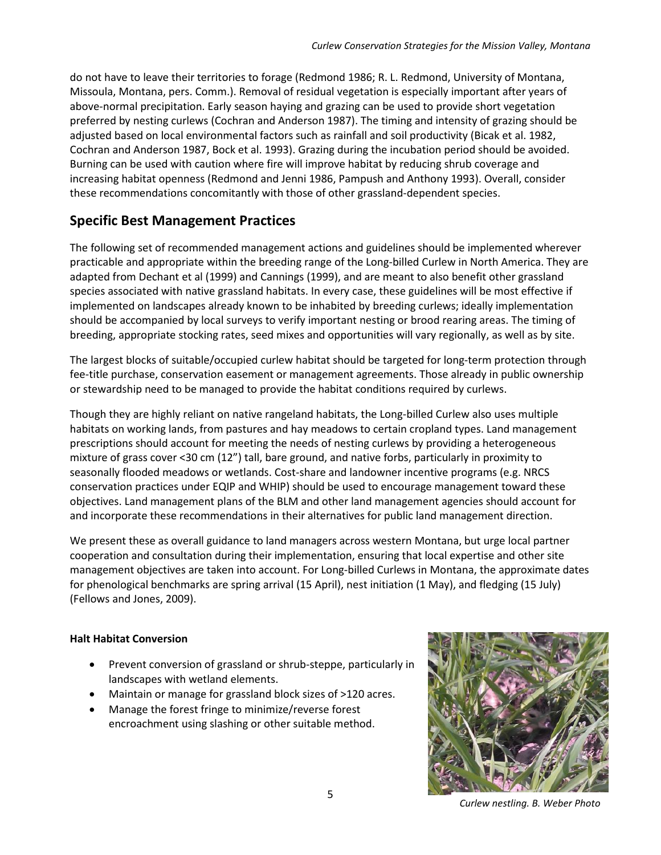do not have to leave their territories to forage (Redmond 1986; R. L. Redmond, University of Montana, Missoula, Montana, pers. Comm.). Removal of residual vegetation is especially important after years of above-normal precipitation. Early season haying and grazing can be used to provide short vegetation preferred by nesting curlews (Cochran and Anderson 1987). The timing and intensity of grazing should be adjusted based on local environmental factors such as rainfall and soil productivity (Bicak et al. 1982, Cochran and Anderson 1987, Bock et al. 1993). Grazing during the incubation period should be avoided. Burning can be used with caution where fire will improve habitat by reducing shrub coverage and increasing habitat openness (Redmond and Jenni 1986, Pampush and Anthony 1993). Overall, consider these recommendations concomitantly with those of other grassland-dependent species.

### **Specific Best Management Practices**

The following set of recommended management actions and guidelines should be implemented wherever practicable and appropriate within the breeding range of the Long-billed Curlew in North America. They are adapted from Dechant et al (1999) and Cannings (1999), and are meant to also benefit other grassland species associated with native grassland habitats. In every case, these guidelines will be most effective if implemented on landscapes already known to be inhabited by breeding curlews; ideally implementation should be accompanied by local surveys to verify important nesting or brood rearing areas. The timing of breeding, appropriate stocking rates, seed mixes and opportunities will vary regionally, as well as by site.

The largest blocks of suitable/occupied curlew habitat should be targeted for long-term protection through fee-title purchase, conservation easement or management agreements. Those already in public ownership or stewardship need to be managed to provide the habitat conditions required by curlews.

Though they are highly reliant on native rangeland habitats, the Long-billed Curlew also uses multiple habitats on working lands, from pastures and hay meadows to certain cropland types. Land management prescriptions should account for meeting the needs of nesting curlews by providing a heterogeneous mixture of grass cover <30 cm (12") tall, bare ground, and native forbs, particularly in proximity to seasonally flooded meadows or wetlands. Cost-share and landowner incentive programs (e.g. NRCS conservation practices under EQIP and WHIP) should be used to encourage management toward these objectives. Land management plans of the BLM and other land management agencies should account for and incorporate these recommendations in their alternatives for public land management direction.

We present these as overall guidance to land managers across western Montana, but urge local partner cooperation and consultation during their implementation, ensuring that local expertise and other site management objectives are taken into account. For Long-billed Curlews in Montana, the approximate dates for phenological benchmarks are spring arrival (15 April), nest initiation (1 May), and fledging (15 July) (Fellows and Jones, 2009).

#### **Halt Habitat Conversion**

- Prevent conversion of grassland or shrub-steppe, particularly in landscapes with wetland elements.
- Maintain or manage for grassland block sizes of >120 acres.
- Manage the forest fringe to minimize/reverse forest encroachment using slashing or other suitable method.



*Curlew nestling. B. Weber Photo*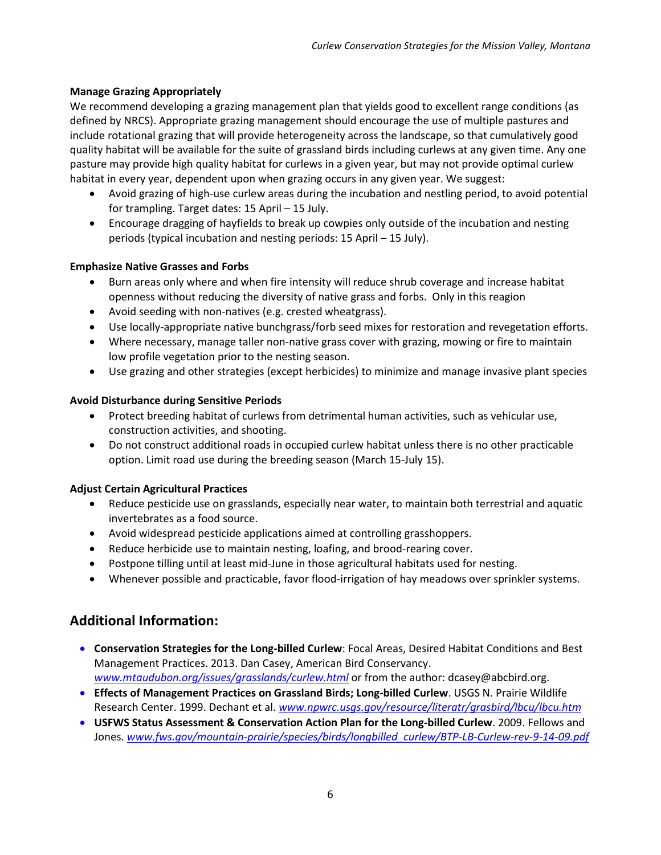#### **Manage Grazing Appropriately**

We recommend developing a grazing management plan that yields good to excellent range conditions (as defined by NRCS). Appropriate grazing management should encourage the use of multiple pastures and include rotational grazing that will provide heterogeneity across the landscape, so that cumulatively good quality habitat will be available for the suite of grassland birds including curlews at any given time. Any one pasture may provide high quality habitat for curlews in a given year, but may not provide optimal curlew habitat in every year, dependent upon when grazing occurs in any given year. We suggest:

- Avoid grazing of high-use curlew areas during the incubation and nestling period, to avoid potential for trampling. Target dates: 15 April – 15 July.
- Encourage dragging of hayfields to break up cowpies only outside of the incubation and nesting periods (typical incubation and nesting periods: 15 April – 15 July).

#### **Emphasize Native Grasses and Forbs**

- Burn areas only where and when fire intensity will reduce shrub coverage and increase habitat openness without reducing the diversity of native grass and forbs. Only in this reagion
- Avoid seeding with non-natives (e.g. crested wheatgrass).
- Use locally-appropriate native bunchgrass/forb seed mixes for restoration and revegetation efforts.
- Where necessary, manage taller non-native grass cover with grazing, mowing or fire to maintain low profile vegetation prior to the nesting season.
- Use grazing and other strategies (except herbicides) to minimize and manage invasive plant species

#### **Avoid Disturbance during Sensitive Periods**

- Protect breeding habitat of curlews from detrimental human activities, such as vehicular use, construction activities, and shooting.
- Do not construct additional roads in occupied curlew habitat unless there is no other practicable option. Limit road use during the breeding season (March 15-July 15).

#### **Adjust Certain Agricultural Practices**

- Reduce pesticide use on grasslands, especially near water, to maintain both terrestrial and aquatic invertebrates as a food source.
- Avoid widespread pesticide applications aimed at controlling grasshoppers.
- Reduce herbicide use to maintain nesting, loafing, and brood-rearing cover.
- Postpone tilling until at least mid-June in those agricultural habitats used for nesting.
- Whenever possible and practicable, favor flood-irrigation of hay meadows over sprinkler systems.

### **Additional Information:**

- **Conservation Strategies for the Long-billed Curlew**: Focal Areas, Desired Habitat Conditions and Best Management Practices. 2013. Dan Casey, American Bird Conservancy. *[www.mtaudubon.org/issues/grasslands/curlew.html](http://www.mtaudubon.org/issues/grasslands/curlew.html)* or from the author: dcasey@abcbird.org.
- **Effects of Management Practices on Grassland Birds; Long-billed Curlew**. USGS N. Prairie Wildlife Research Center. 1999. Dechant et al. *[www.npwrc.usgs.gov/resource/literatr/grasbird/lbcu/lbcu.htm](http://www.npwrc.usgs.gov/resource/literatr/grasbird/lbcu/lbcu.htm)*
- **USFWS Status Assessment & Conservation Action Plan for the Long-billed Curlew**. 2009. Fellows and Jones. *[www.fws.gov/mountain-prairie/species/birds/longbilled\\_curlew/BTP-LB-Curlew-rev-9-14-09.pdf](http://www.fws.gov/mountain-prairie/species/birds/longbilled_curlew/BTP-LB-Curlew-rev-9-14-09.pdf)*